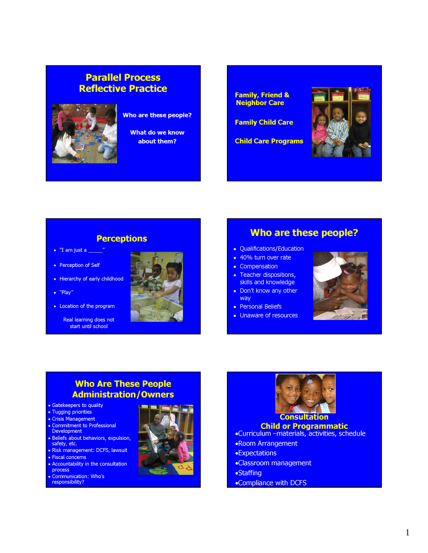# Parallel Process Reflective Practice



#### Who are these people?

What do we know about them?

Family, Friend & Neighbor Care

Family Child Care

Child Care Programs



### **Perceptions**

- "I am just a \_\_\_\_\_"
- Perception of Self
- Hierarchy of early childhood
- "Play"
- Location of the program

Real learning does not start until school



# Who are these people?

- Qualifications/Education
- 40% turn over rate
- Compensation
- Teacher dispositions, skills and knowledge
- Don't know any other way
- Personal Beliefs
- Unaware of resources



## Who Are These People Administration/Owners

- Gatekeepers to quality
- Tugging priorities
- Crisis Management
- Commitment to Professional Development
- Beliefs about behaviors, expulsion, safety, etc.
- Risk management: DCFS, lawsuit
- Fiscal concerns
- Accountability in the consultation process
- Communication: Who's responsibility?
- 





#### •Curriculum –materials, activities, schedule

- •Room Arrangement
- •Expectations
- •Classroom management
- •Staffing
- •Compliance with DCFS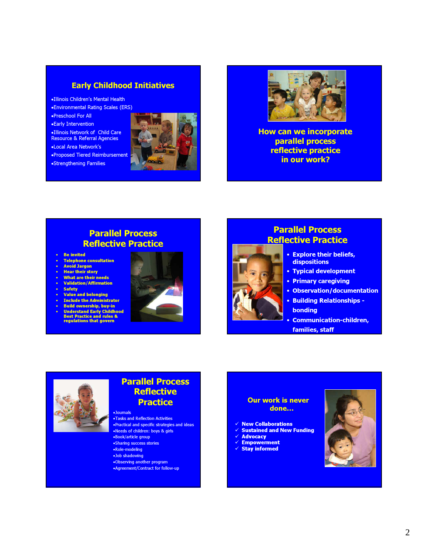#### Early Childhood Initiatives

- •Illinois Children's Mental Health
- •Environmental Rating Scales (ERS)
- •Preschool For All
- •Early Intervention
- •Illinois Network of Child Care
- Resource & Referral Agencies
- •Local Area Network's
- •Proposed Tiered Reimbursement
- •Strengthening Families





How can we incorporate parallel process reflective practice in our work?

## Parallel Process Reflective Practice

- Be invited
- Telephone consultation Avoid Jargon
- 
- Hear their story • What are their needs
- Validation/Affirmation
- **Safety**
- Value and belonging
- Include the Administrator
- Build ownership, buy-in
- Understand Early Childhood Best Practice and rules & regulations that govern



# Reflective Practice • Explore their beliefs,

Parallel Process

- dispositions
- Typical development
- Primary caregiving
- Observation/documentation
- Building Relationships bonding
- Communication-children, families, staff



### Parallel Process **Reflective Practice**

#### •Journals •Tasks and Reflection Activities

- •Practical and specific strategies and ideas •Needs of children: boys & girls
- •Book/article group
- •Sharing success stories
- •Role-modeling
- •Job shadowing
- •Observing another program •Agreement/Contract for follow-up
	-

#### Our work is never done…

- $\checkmark$  New Collaborations
- Sustained and New Funding
- **Advocacy**
- Empowerment
- Stay informed